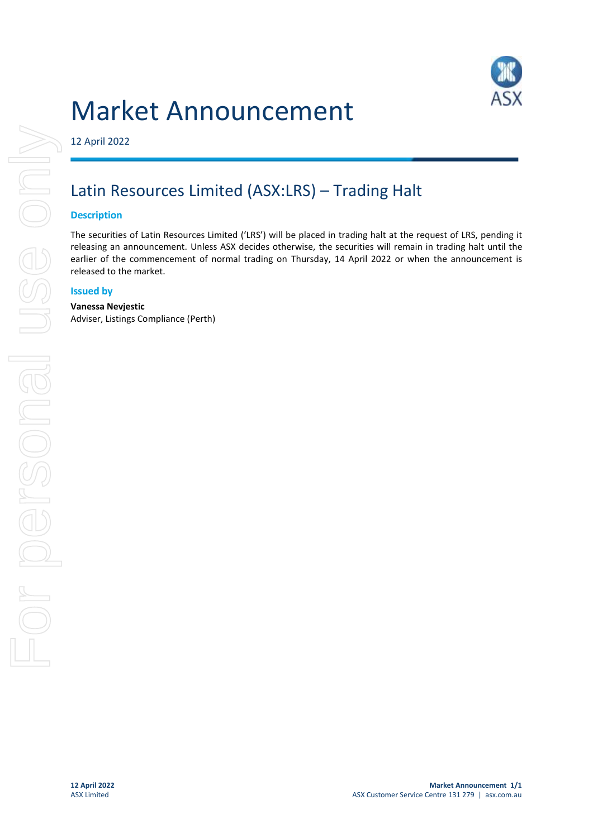# Market Announcement



12 April 2022

## Latin Resources Limited (ASX:LRS) – Trading Halt

### **Description**

The securities of Latin Resources Limited ('LRS') will be placed in trading halt at the request of LRS, pending it releasing an announcement. Unless ASX decides otherwise, the securities will remain in trading halt until the earlier of the commencement of normal trading on Thursday, 14 April 2022 or when the announcement is released to the market.

### **Issued by**

#### **Vanessa Nevjestic**

Adviser, Listings Compliance (Perth)